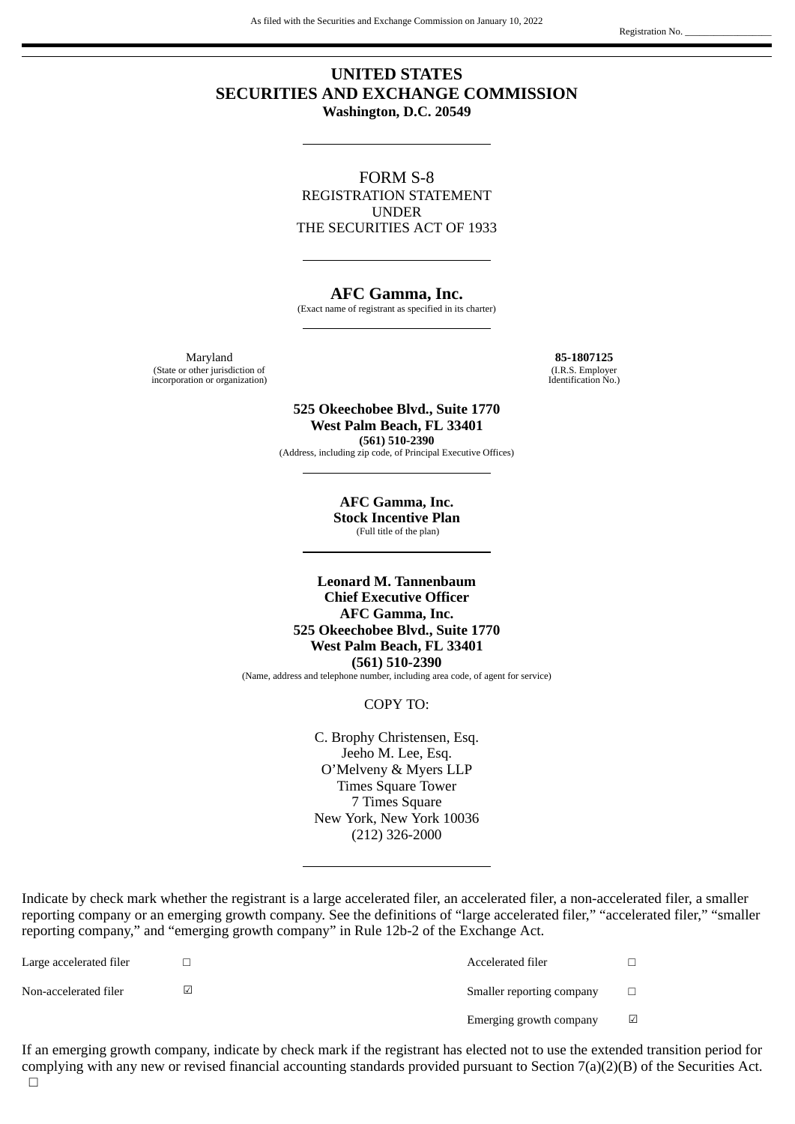# **UNITED STATES SECURITIES AND EXCHANGE COMMISSION Washington, D.C. 20549**

FORM S-8 REGISTRATION STATEMENT UNDER THE SECURITIES ACT OF 1933

## **AFC Gamma, Inc.**

(Exact name of registrant as specified in its charter)

Maryland **85-1807125**<br>
r other jurisdiction of **85-1807125**<br>
(I.R.S. Employer (State or other jurisdiction of the content of the content of the content of the content of the content of the content of the content of the content of the content of the content of the content of the content of the conten incorporation or organization)

**525 Okeechobee Blvd., Suite 1770 West Palm Beach, FL 33401 (561) 510-2390** (Address, including zip code, of Principal Executive Offices)

> **AFC Gamma, Inc. Stock Incentive Plan**

(Full title of the plan)

**Leonard M. Tannenbaum Chief Executive Officer AFC Gamma, Inc. 525 Okeechobee Blvd., Suite 1770 West Palm Beach, FL 33401 (561) 510-2390** (Name, address and telephone number, including area code, of agent for service)

COPY TO:

C. Brophy Christensen, Esq. Jeeho M. Lee, Esq. O'Melveny & Myers LLP Times Square Tower 7 Times Square New York, New York 10036 (212) 326-2000

Indicate by check mark whether the registrant is a large accelerated filer, an accelerated filer, a non-accelerated filer, a smaller reporting company or an emerging growth company. See the definitions of "large accelerated filer," "accelerated filer," "smaller reporting company," and "emerging growth company" in Rule 12b-2 of the Exchange Act.

Large accelerated filer □ Accelerated filer □ Non-accelerated filer ☑ Smaller reporting company □ Emerging growth company <del>□</del>

If an emerging growth company, indicate by check mark if the registrant has elected not to use the extended transition period for complying with any new or revised financial accounting standards provided pursuant to Section 7(a)(2)(B) of the Securities Act. □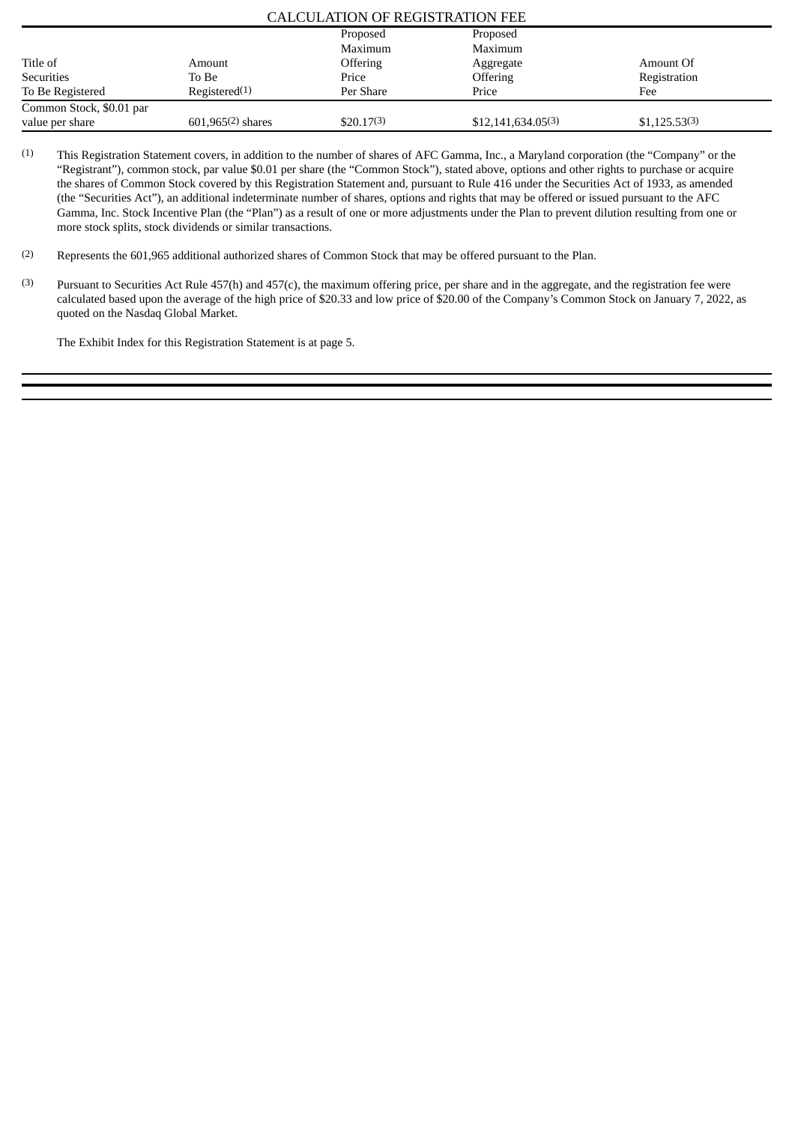### CALCULATION OF REGISTRATION FEE

|                          |                           | Proposed        | Proposed               |                   |
|--------------------------|---------------------------|-----------------|------------------------|-------------------|
|                          |                           | Maximum         | Maximum                |                   |
| Title of                 | Amount                    | <b>Offering</b> | Aggregate              | Amount Of         |
| <b>Securities</b>        | To Be                     | Price           | <b>Offering</b>        | Registration      |
| To Be Registered         | Registered <sup>(1)</sup> | Per Share       | Price                  | Fee               |
| Common Stock, \$0.01 par |                           |                 |                        |                   |
| value per share          | $601.965^{(2)}$ shares    | $$20.17^{(3)}$  | $$12.141.634.05^{(3)}$ | $$1,125.53^{(3)}$ |

(1) This Registration Statement covers, in addition to the number of shares of AFC Gamma, Inc., a Maryland corporation (the "Company" or the "Registrant"), common stock, par value \$0.01 per share (the "Common Stock"), stated above, options and other rights to purchase or acquire the shares of Common Stock covered by this Registration Statement and, pursuant to Rule 416 under the Securities Act of 1933, as amended (the "Securities Act"), an additional indeterminate number of shares, options and rights that may be offered or issued pursuant to the AFC Gamma, Inc. Stock Incentive Plan (the "Plan") as a result of one or more adjustments under the Plan to prevent dilution resulting from one or more stock splits, stock dividends or similar transactions.

- (2) Represents the 601,965 additional authorized shares of Common Stock that may be offered pursuant to the Plan.
- (3) Pursuant to Securities Act Rule 457(h) and 457(c), the maximum offering price, per share and in the aggregate, and the registration fee were calculated based upon the average of the high price of \$20.33 and low price of \$20.00 of the Company's Common Stock on January 7, 2022, as quoted on the Nasdaq Global Market.

The Exhibit Index for this Registration Statement is at page 5.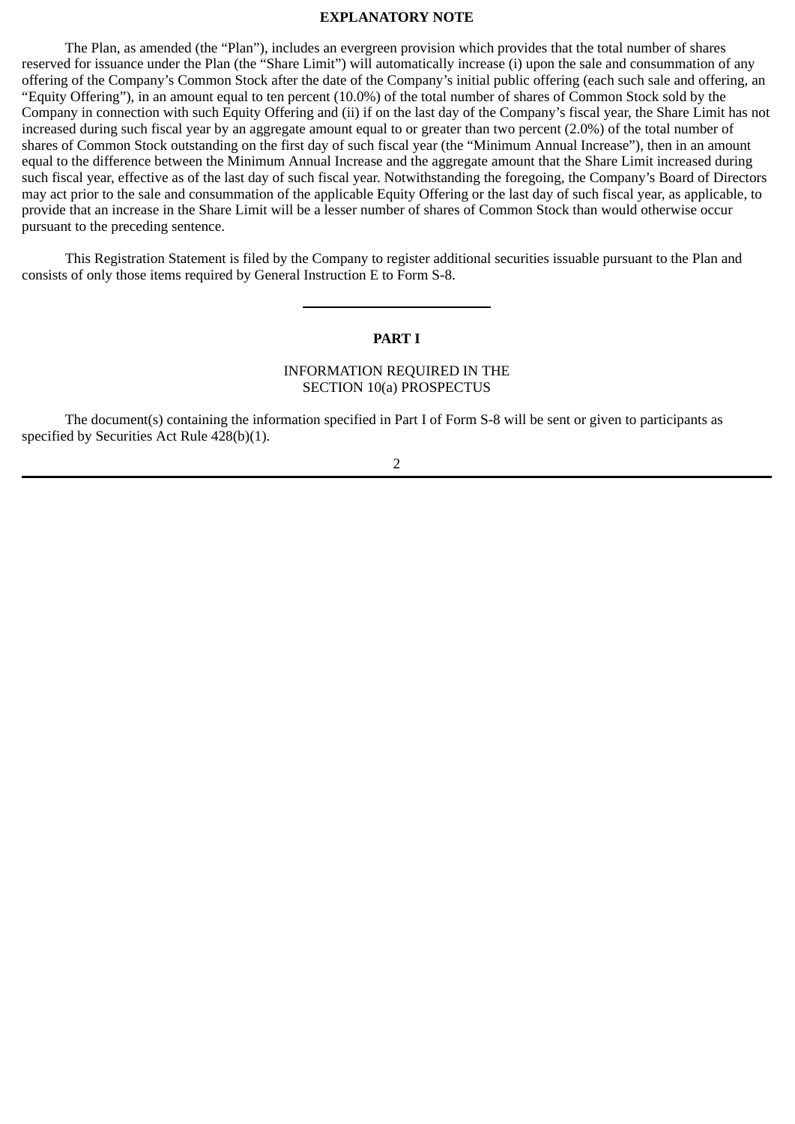### **EXPLANATORY NOTE**

The Plan, as amended (the "Plan"), includes an evergreen provision which provides that the total number of shares reserved for issuance under the Plan (the "Share Limit") will automatically increase (i) upon the sale and consummation of any offering of the Company's Common Stock after the date of the Company's initial public offering (each such sale and offering, an "Equity Offering"), in an amount equal to ten percent (10.0%) of the total number of shares of Common Stock sold by the Company in connection with such Equity Offering and (ii) if on the last day of the Company's fiscal year, the Share Limit has not increased during such fiscal year by an aggregate amount equal to or greater than two percent (2.0%) of the total number of shares of Common Stock outstanding on the first day of such fiscal year (the "Minimum Annual Increase"), then in an amount equal to the difference between the Minimum Annual Increase and the aggregate amount that the Share Limit increased during such fiscal year, effective as of the last day of such fiscal year. Notwithstanding the foregoing, the Company's Board of Directors may act prior to the sale and consummation of the applicable Equity Offering or the last day of such fiscal year, as applicable, to provide that an increase in the Share Limit will be a lesser number of shares of Common Stock than would otherwise occur pursuant to the preceding sentence.

This Registration Statement is filed by the Company to register additional securities issuable pursuant to the Plan and consists of only those items required by General Instruction E to Form S-8.

### **PART I**

## INFORMATION REQUIRED IN THE SECTION 10(a) PROSPECTUS

The document(s) containing the information specified in Part I of Form S-8 will be sent or given to participants as specified by Securities Act Rule 428(b)(1).

2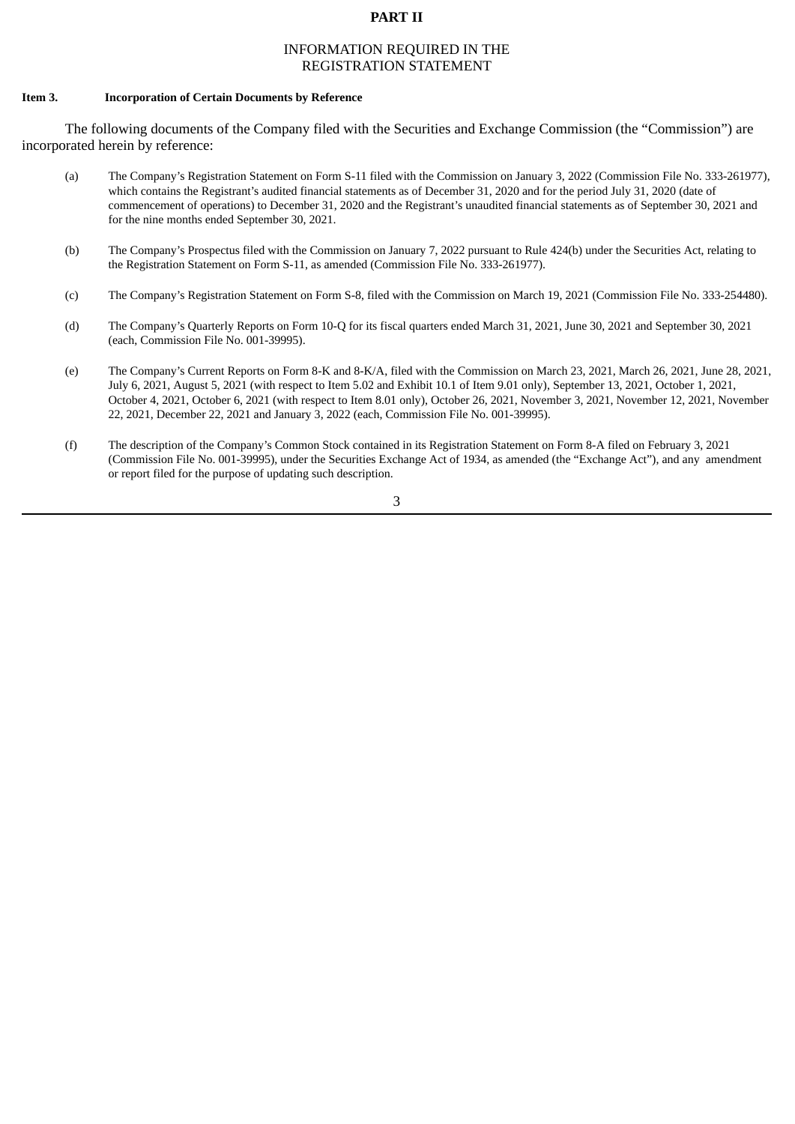### **PART II**

## INFORMATION REQUIRED IN THE REGISTRATION STATEMENT

#### **Item 3. Incorporation of Certain Documents by Reference**

The following documents of the Company filed with the Securities and Exchange Commission (the "Commission") are incorporated herein by reference:

- (a) The Company's Registration Statement on Form S-11 filed with the Commission on January 3, 2022 (Commission File No. 333-261977), which contains the Registrant's audited financial statements as of December 31, 2020 and for the period July 31, 2020 (date of commencement of operations) to December 31, 2020 and the Registrant's unaudited financial statements as of September 30, 2021 and for the nine months ended September 30, 2021.
- (b) The Company's Prospectus filed with the Commission on January 7, 2022 pursuant to Rule 424(b) under the Securities Act, relating to the Registration Statement on Form S-11, as amended (Commission File No. 333-261977).
- (c) The Company's Registration Statement on Form S-8, filed with the Commission on March 19, 2021 (Commission File No. 333-254480).
- (d) The Company's Quarterly Reports on Form 10-Q for its fiscal quarters ended March 31, 2021, June 30, 2021 and September 30, 2021 (each, Commission File No. 001-39995).
- (e) The Company's Current Reports on Form 8-K and 8-K/A, filed with the Commission on March 23, 2021, March 26, 2021, June 28, 2021, July 6, 2021, August 5, 2021 (with respect to Item 5.02 and Exhibit 10.1 of Item 9.01 only), September 13, 2021, October 1, 2021, October 4, 2021, October 6, 2021 (with respect to Item 8.01 only), October 26, 2021, November 3, 2021, November 12, 2021, November 22, 2021, December 22, 2021 and January 3, 2022 (each, Commission File No. 001-39995).
- (f) The description of the Company's Common Stock contained in its Registration Statement on Form 8-A filed on February 3, 2021 (Commission File No. 001-39995), under the Securities Exchange Act of 1934, as amended (the "Exchange Act"), and any amendment or report filed for the purpose of updating such description.

3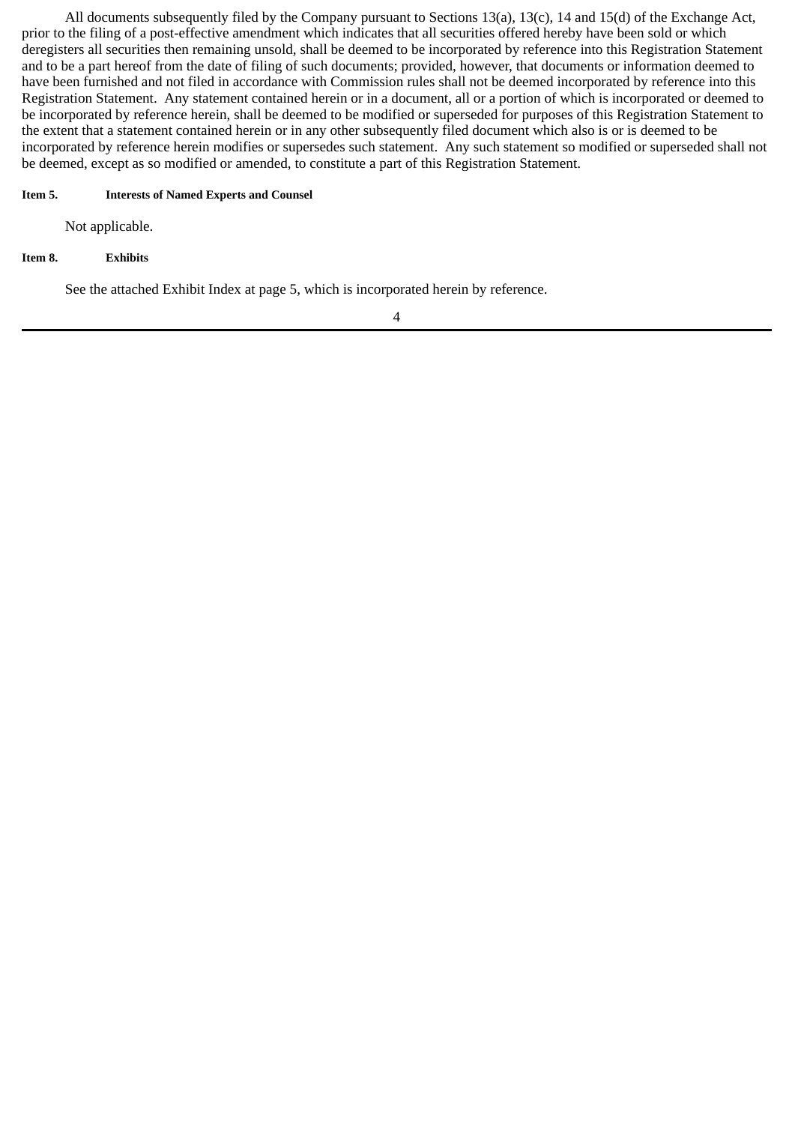All documents subsequently filed by the Company pursuant to Sections 13(a), 13(c), 14 and 15(d) of the Exchange Act, prior to the filing of a post-effective amendment which indicates that all securities offered hereby have been sold or which deregisters all securities then remaining unsold, shall be deemed to be incorporated by reference into this Registration Statement and to be a part hereof from the date of filing of such documents; provided, however, that documents or information deemed to have been furnished and not filed in accordance with Commission rules shall not be deemed incorporated by reference into this Registration Statement. Any statement contained herein or in a document, all or a portion of which is incorporated or deemed to be incorporated by reference herein, shall be deemed to be modified or superseded for purposes of this Registration Statement to the extent that a statement contained herein or in any other subsequently filed document which also is or is deemed to be incorporated by reference herein modifies or supersedes such statement. Any such statement so modified or superseded shall not be deemed, except as so modified or amended, to constitute a part of this Registration Statement.

### **Item 5. Interests of Named Experts and Counsel**

Not applicable.

**Item 8. Exhibits**

See the attached Exhibit Index at page 5, which is incorporated herein by reference.

4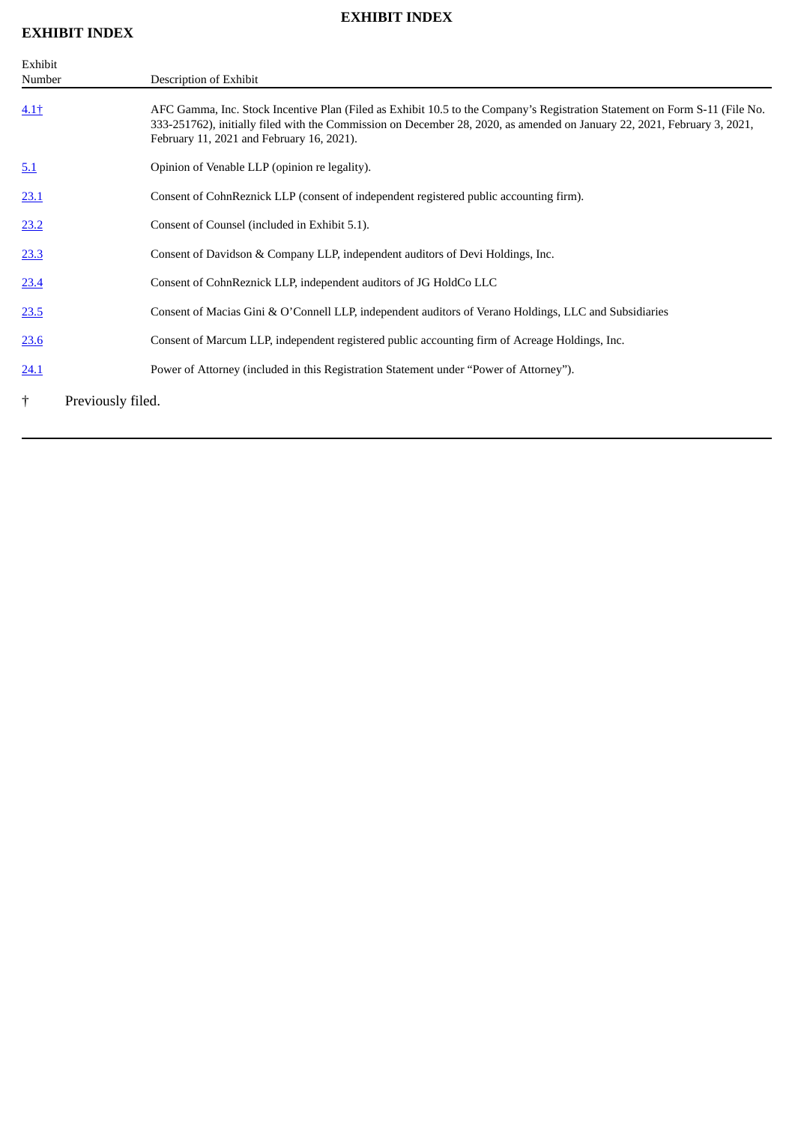# **EXHIBIT INDEX**

# **EXHIBIT INDEX**

| Exhibit<br>Number | Description of Exhibit                                                                                                                                                                                                                                                                              |  |  |  |
|-------------------|-----------------------------------------------------------------------------------------------------------------------------------------------------------------------------------------------------------------------------------------------------------------------------------------------------|--|--|--|
| <u>4.1†</u>       | AFC Gamma, Inc. Stock Incentive Plan (Filed as Exhibit 10.5 to the Company's Registration Statement on Form S-11 (File No.<br>333-251762), initially filed with the Commission on December 28, 2020, as amended on January 22, 2021, February 3, 2021,<br>February 11, 2021 and February 16, 2021). |  |  |  |
| <u>5.1</u>        | Opinion of Venable LLP (opinion re legality).                                                                                                                                                                                                                                                       |  |  |  |
| <u>23.1</u>       | Consent of CohnReznick LLP (consent of independent registered public accounting firm).                                                                                                                                                                                                              |  |  |  |
| <u>23.2</u>       | Consent of Counsel (included in Exhibit 5.1).                                                                                                                                                                                                                                                       |  |  |  |
| <u>23.3</u>       | Consent of Davidson & Company LLP, independent auditors of Devi Holdings, Inc.                                                                                                                                                                                                                      |  |  |  |
| <u>23.4</u>       | Consent of CohnReznick LLP, independent auditors of JG HoldCo LLC                                                                                                                                                                                                                                   |  |  |  |
| <u>23.5</u>       | Consent of Macias Gini & O'Connell LLP, independent auditors of Verano Holdings, LLC and Subsidiaries                                                                                                                                                                                               |  |  |  |
| <u>23.6</u>       | Consent of Marcum LLP, independent registered public accounting firm of Acreage Holdings, Inc.                                                                                                                                                                                                      |  |  |  |
| <u>24.1</u>       | Power of Attorney (included in this Registration Statement under "Power of Attorney").                                                                                                                                                                                                              |  |  |  |
| ╈                 | Previously filed.                                                                                                                                                                                                                                                                                   |  |  |  |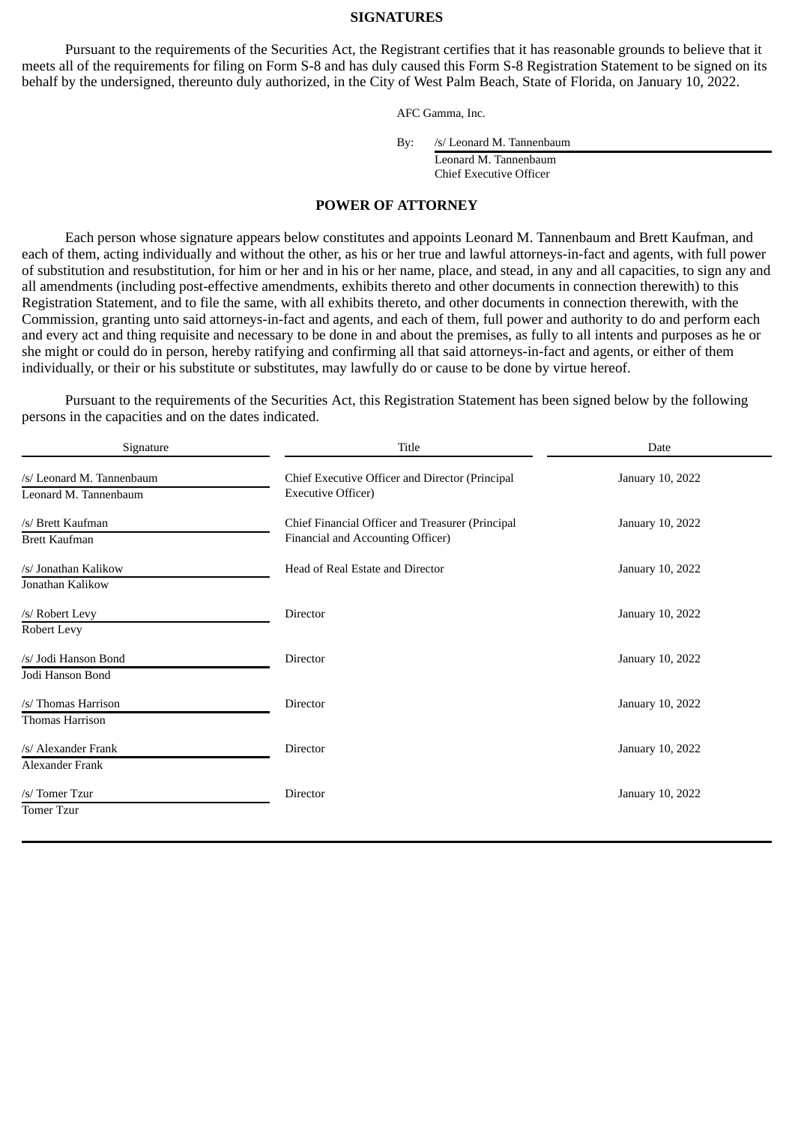#### **SIGNATURES**

Pursuant to the requirements of the Securities Act, the Registrant certifies that it has reasonable grounds to believe that it meets all of the requirements for filing on Form S‑8 and has duly caused this Form S-8 Registration Statement to be signed on its behalf by the undersigned, thereunto duly authorized, in the City of West Palm Beach, State of Florida, on January 10, 2022.

AFC Gamma, Inc.

By: /s/ Leonard M. Tannenbaum

<span id="page-6-0"></span>Leonard M. Tannenbaum Chief Executive Officer

### **POWER OF ATTORNEY**

Each person whose signature appears below constitutes and appoints Leonard M. Tannenbaum and Brett Kaufman, and each of them, acting individually and without the other, as his or her true and lawful attorneys-in-fact and agents, with full power of substitution and resubstitution, for him or her and in his or her name, place, and stead, in any and all capacities, to sign any and all amendments (including post-effective amendments, exhibits thereto and other documents in connection therewith) to this Registration Statement, and to file the same, with all exhibits thereto, and other documents in connection therewith, with the Commission, granting unto said attorneys-in-fact and agents, and each of them, full power and authority to do and perform each and every act and thing requisite and necessary to be done in and about the premises, as fully to all intents and purposes as he or she might or could do in person, hereby ratifying and confirming all that said attorneys-in-fact and agents, or either of them individually, or their or his substitute or substitutes, may lawfully do or cause to be done by virtue hereof.

Pursuant to the requirements of the Securities Act, this Registration Statement has been signed below by the following persons in the capacities and on the dates indicated.

| Signature                                          | Title                                                                                 | Date             |  |
|----------------------------------------------------|---------------------------------------------------------------------------------------|------------------|--|
| /s/ Leonard M. Tannenbaum<br>Leonard M. Tannenbaum | Chief Executive Officer and Director (Principal<br><b>Executive Officer)</b>          | January 10, 2022 |  |
| /s/ Brett Kaufman<br><b>Brett Kaufman</b>          | Chief Financial Officer and Treasurer (Principal<br>Financial and Accounting Officer) | January 10, 2022 |  |
| /s/ Jonathan Kalikow<br>Jonathan Kalikow           | Head of Real Estate and Director                                                      | January 10, 2022 |  |
| /s/ Robert Levy<br>Robert Levy                     | <b>Director</b>                                                                       | January 10, 2022 |  |
| /s/ Jodi Hanson Bond<br>Jodi Hanson Bond           | <b>Director</b>                                                                       | January 10, 2022 |  |
| /s/ Thomas Harrison<br>Thomas Harrison             | Director                                                                              | January 10, 2022 |  |
| /s/ Alexander Frank<br>Alexander Frank             | <b>Director</b>                                                                       | January 10, 2022 |  |
| /s/ Tomer Tzur<br><b>Tomer Tzur</b>                | Director                                                                              | January 10, 2022 |  |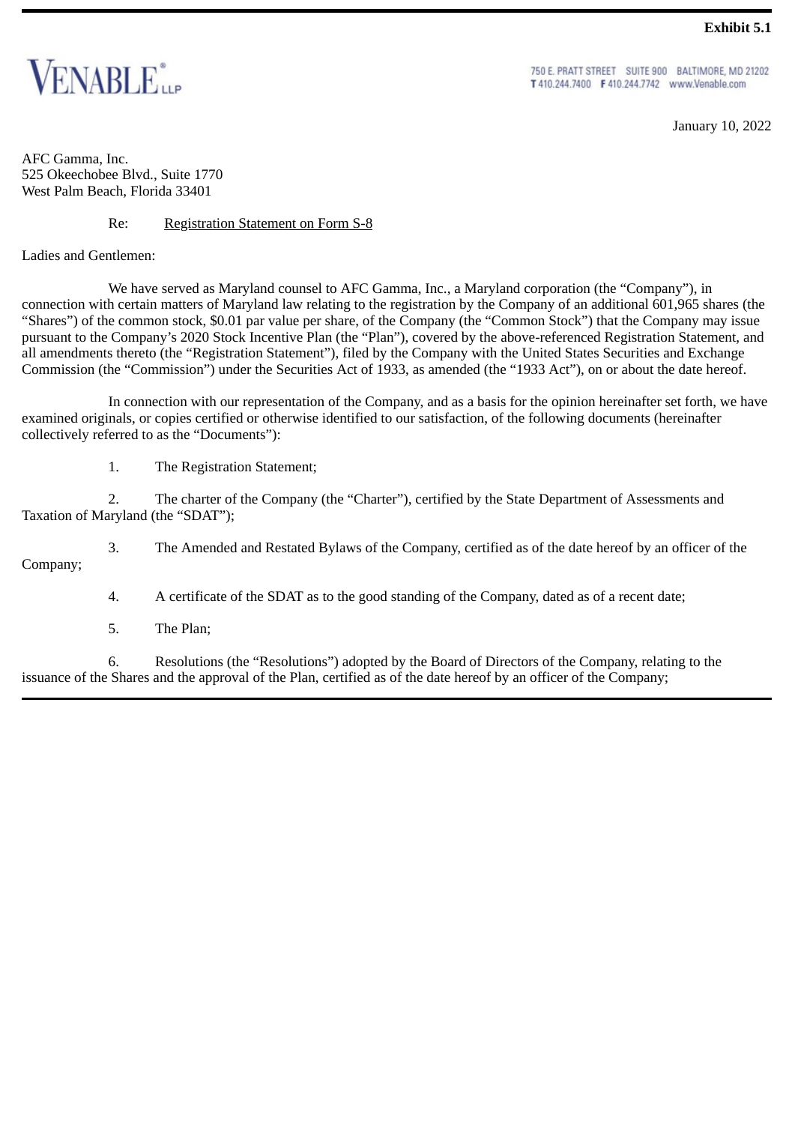

<span id="page-7-0"></span>

750 E. PRATT STREET SUITE 900 BALTIMORE, MD 21202 T 410.244.7400 F 410.244.7742 www.Venable.com

January 10, 2022

AFC Gamma, Inc. 525 Okeechobee Blvd., Suite 1770 West Palm Beach, Florida 33401

# Re: Registration Statement on Form S-8

Ladies and Gentlemen:

We have served as Maryland counsel to AFC Gamma, Inc., a Maryland corporation (the "Company"), in connection with certain matters of Maryland law relating to the registration by the Company of an additional 601,965 shares (the "Shares") of the common stock, \$0.01 par value per share, of the Company (the "Common Stock") that the Company may issue pursuant to the Company's 2020 Stock Incentive Plan (the "Plan"), covered by the above-referenced Registration Statement, and all amendments thereto (the "Registration Statement"), filed by the Company with the United States Securities and Exchange Commission (the "Commission") under the Securities Act of 1933, as amended (the "1933 Act"), on or about the date hereof.

In connection with our representation of the Company, and as a basis for the opinion hereinafter set forth, we have examined originals, or copies certified or otherwise identified to our satisfaction, of the following documents (hereinafter collectively referred to as the "Documents"):

1. The Registration Statement;

2. The charter of the Company (the "Charter"), certified by the State Department of Assessments and Taxation of Maryland (the "SDAT");

3. The Amended and Restated Bylaws of the Company, certified as of the date hereof by an officer of the Company;

4. A certificate of the SDAT as to the good standing of the Company, dated as of a recent date;

5. The Plan;

6. Resolutions (the "Resolutions") adopted by the Board of Directors of the Company, relating to the issuance of the Shares and the approval of the Plan, certified as of the date hereof by an officer of the Company;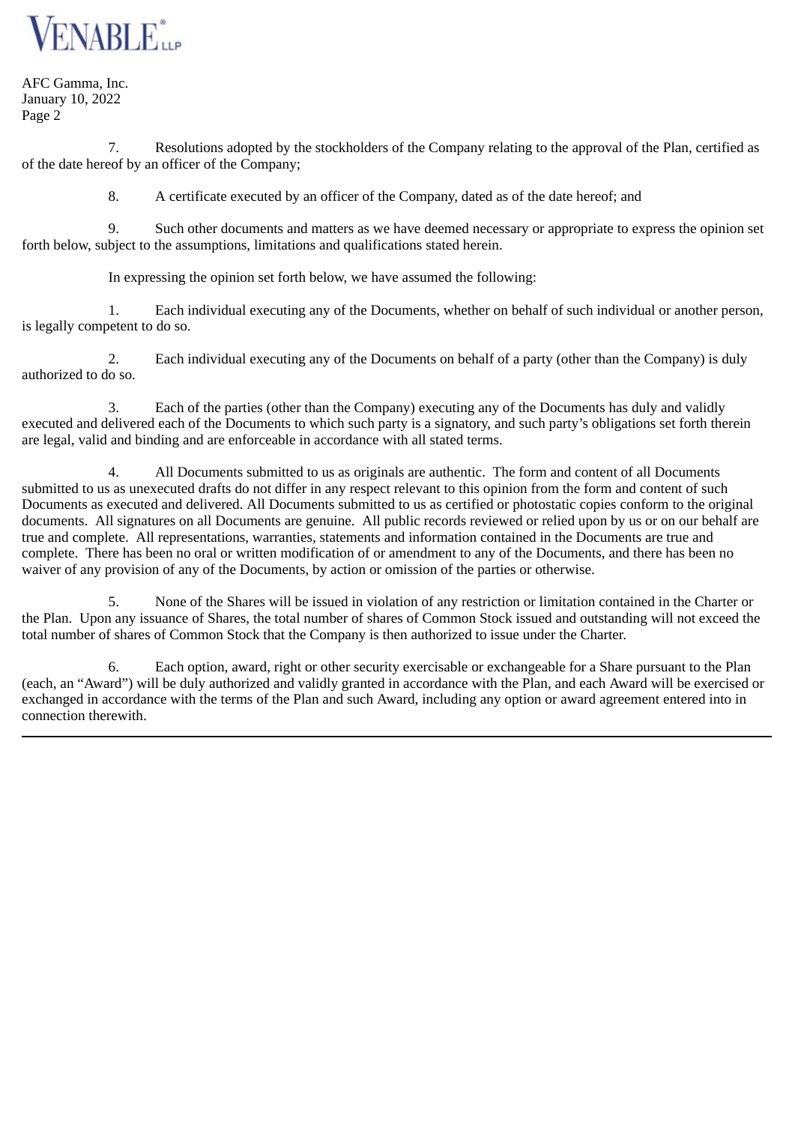

AFC Gamma, Inc. January 10, 2022 Page 2

7. Resolutions adopted by the stockholders of the Company relating to the approval of the Plan, certified as of the date hereof by an officer of the Company;

8. A certificate executed by an officer of the Company, dated as of the date hereof; and

9. Such other documents and matters as we have deemed necessary or appropriate to express the opinion set forth below, subject to the assumptions, limitations and qualifications stated herein.

In expressing the opinion set forth below, we have assumed the following:

1. Each individual executing any of the Documents, whether on behalf of such individual or another person, is legally competent to do so.

2. Each individual executing any of the Documents on behalf of a party (other than the Company) is duly authorized to do so.

3. Each of the parties (other than the Company) executing any of the Documents has duly and validly executed and delivered each of the Documents to which such party is a signatory, and such party's obligations set forth therein are legal, valid and binding and are enforceable in accordance with all stated terms.

4. All Documents submitted to us as originals are authentic. The form and content of all Documents submitted to us as unexecuted drafts do not differ in any respect relevant to this opinion from the form and content of such Documents as executed and delivered. All Documents submitted to us as certified or photostatic copies conform to the original documents. All signatures on all Documents are genuine. All public records reviewed or relied upon by us or on our behalf are true and complete. All representations, warranties, statements and information contained in the Documents are true and complete. There has been no oral or written modification of or amendment to any of the Documents, and there has been no waiver of any provision of any of the Documents, by action or omission of the parties or otherwise.

5. None of the Shares will be issued in violation of any restriction or limitation contained in the Charter or the Plan. Upon any issuance of Shares, the total number of shares of Common Stock issued and outstanding will not exceed the total number of shares of Common Stock that the Company is then authorized to issue under the Charter.

6. Each option, award, right or other security exercisable or exchangeable for a Share pursuant to the Plan (each, an "Award") will be duly authorized and validly granted in accordance with the Plan, and each Award will be exercised or exchanged in accordance with the terms of the Plan and such Award, including any option or award agreement entered into in connection therewith.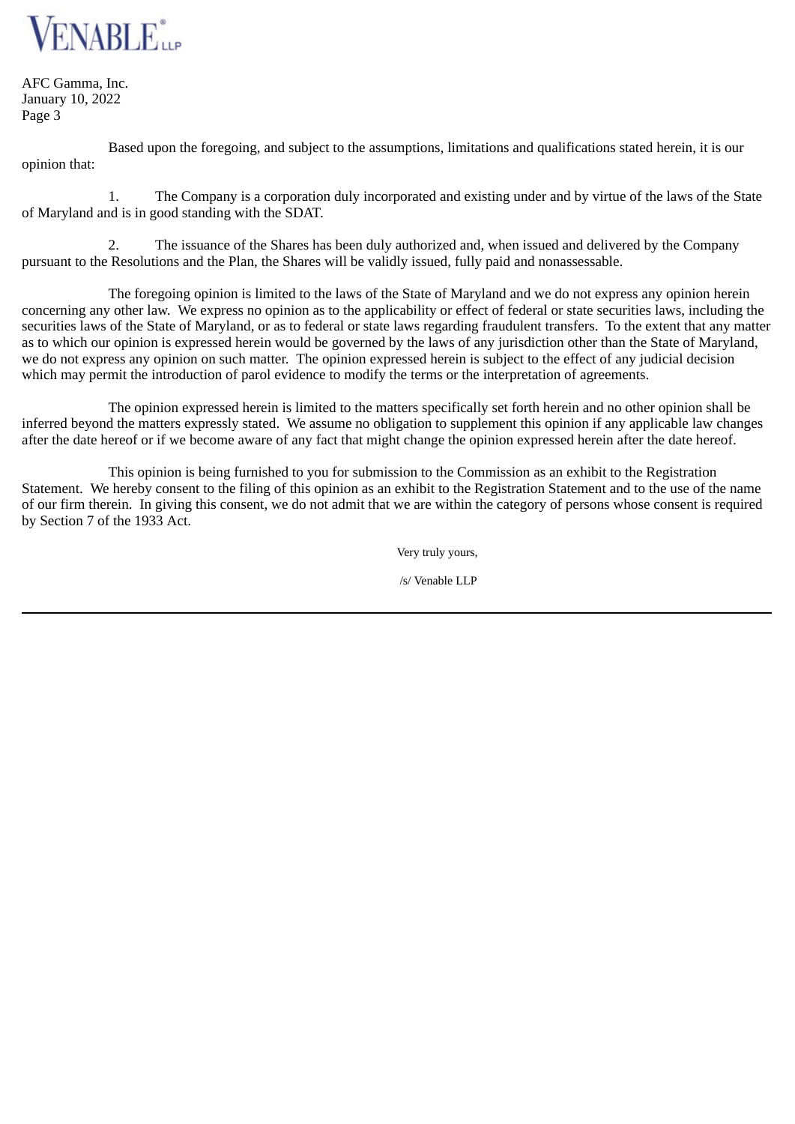

AFC Gamma, Inc. January 10, 2022 Page 3

Based upon the foregoing, and subject to the assumptions, limitations and qualifications stated herein, it is our opinion that:

1. The Company is a corporation duly incorporated and existing under and by virtue of the laws of the State of Maryland and is in good standing with the SDAT.

2. The issuance of the Shares has been duly authorized and, when issued and delivered by the Company pursuant to the Resolutions and the Plan, the Shares will be validly issued, fully paid and nonassessable.

The foregoing opinion is limited to the laws of the State of Maryland and we do not express any opinion herein concerning any other law. We express no opinion as to the applicability or effect of federal or state securities laws, including the securities laws of the State of Maryland, or as to federal or state laws regarding fraudulent transfers. To the extent that any matter as to which our opinion is expressed herein would be governed by the laws of any jurisdiction other than the State of Maryland, we do not express any opinion on such matter. The opinion expressed herein is subject to the effect of any judicial decision which may permit the introduction of parol evidence to modify the terms or the interpretation of agreements.

The opinion expressed herein is limited to the matters specifically set forth herein and no other opinion shall be inferred beyond the matters expressly stated. We assume no obligation to supplement this opinion if any applicable law changes after the date hereof or if we become aware of any fact that might change the opinion expressed herein after the date hereof.

This opinion is being furnished to you for submission to the Commission as an exhibit to the Registration Statement. We hereby consent to the filing of this opinion as an exhibit to the Registration Statement and to the use of the name of our firm therein. In giving this consent, we do not admit that we are within the category of persons whose consent is required by Section 7 of the 1933 Act.

> Very truly yours, /s/ Venable LLP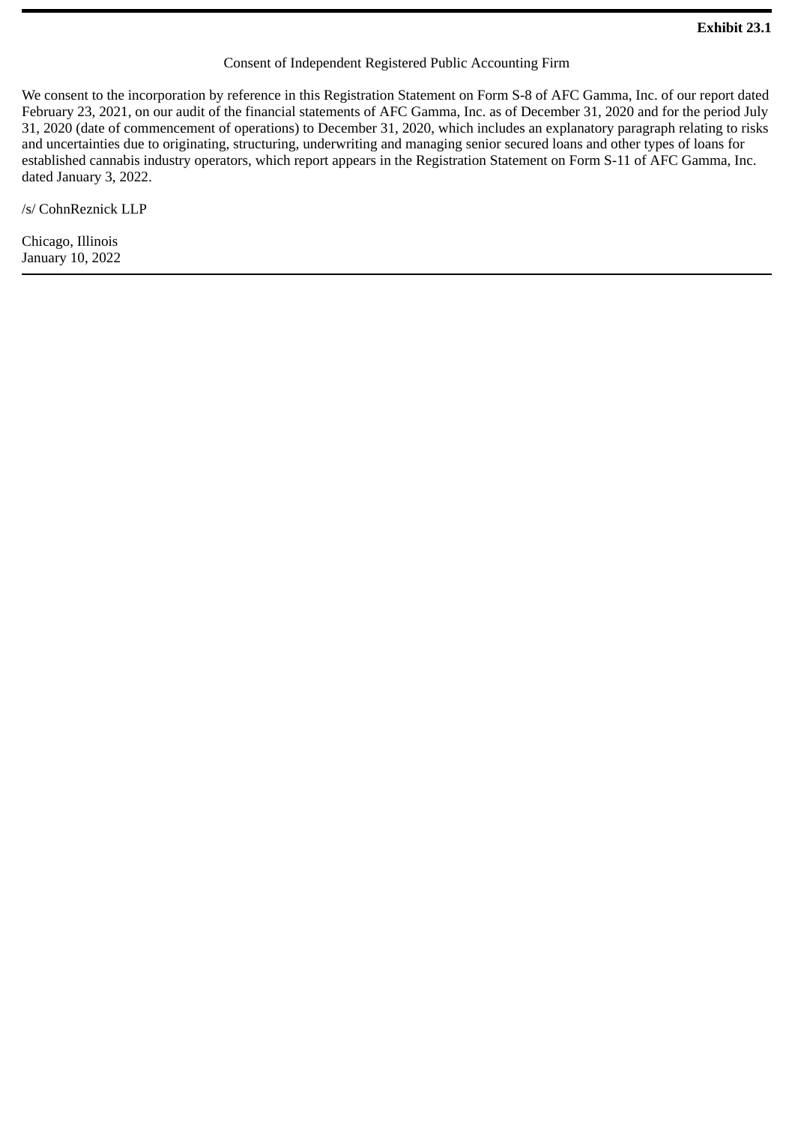# Consent of Independent Registered Public Accounting Firm

<span id="page-10-0"></span>We consent to the incorporation by reference in this Registration Statement on Form S-8 of AFC Gamma, Inc. of our report dated February 23, 2021, on our audit of the financial statements of AFC Gamma, Inc. as of December 31, 2020 and for the period July 31, 2020 (date of commencement of operations) to December 31, 2020, which includes an explanatory paragraph relating to risks and uncertainties due to originating, structuring, underwriting and managing senior secured loans and other types of loans for established cannabis industry operators, which report appears in the Registration Statement on Form S-11 of AFC Gamma, Inc. dated January 3, 2022.

/s/ CohnReznick LLP

Chicago, Illinois January 10, 2022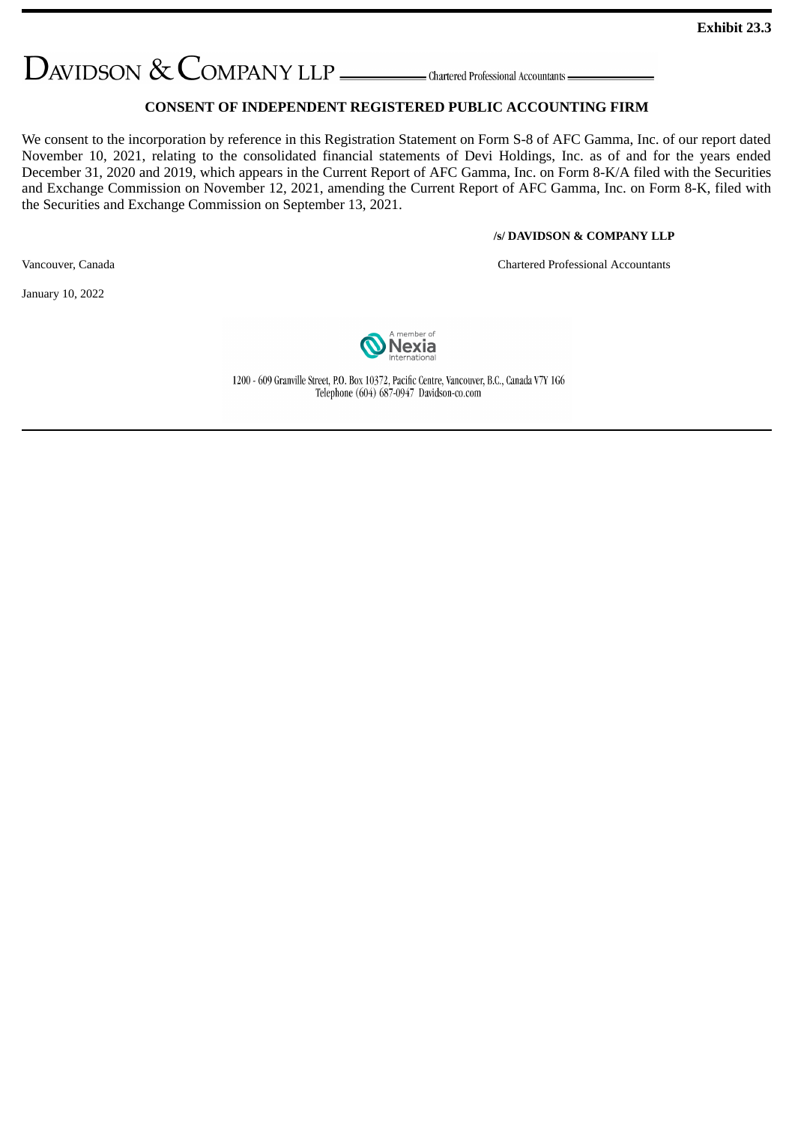<span id="page-11-0"></span> $D$ AVIDSON  $\&$  COMPANY LLP  $\_\_\_\_\$ Chartered Professional Accountants =

# **CONSENT OF INDEPENDENT REGISTERED PUBLIC ACCOUNTING FIRM**

We consent to the incorporation by reference in this Registration Statement on Form S-8 of AFC Gamma, Inc. of our report dated November 10, 2021, relating to the consolidated financial statements of Devi Holdings, Inc. as of and for the years ended December 31, 2020 and 2019, which appears in the Current Report of AFC Gamma, Inc. on Form 8-K/A filed with the Securities and Exchange Commission on November 12, 2021, amending the Current Report of AFC Gamma, Inc. on Form 8-K, filed with the Securities and Exchange Commission on September 13, 2021.

### **/s/ DAVIDSON & COMPANY LLP**

Vancouver, Canada Chartered Professional Accountants

January 10, 2022



1200 - 609 Granville Street, P.O. Box 10372, Pacific Centre, Vancouver, B.C., Canada V7Y 1G6 Telephone (604) 687-0947 Davidson-co.com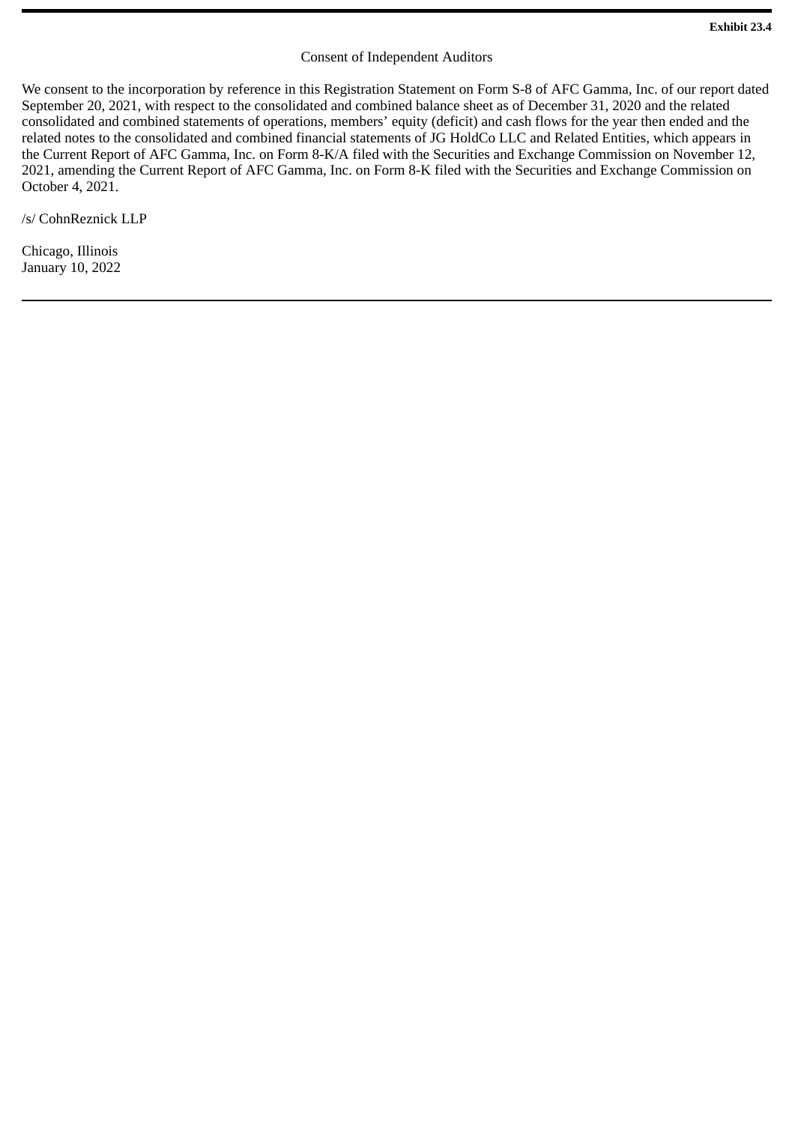## Consent of Independent Auditors

<span id="page-12-0"></span>We consent to the incorporation by reference in this Registration Statement on Form S-8 of AFC Gamma, Inc. of our report dated September 20, 2021, with respect to the consolidated and combined balance sheet as of December 31, 2020 and the related consolidated and combined statements of operations, members' equity (deficit) and cash flows for the year then ended and the related notes to the consolidated and combined financial statements of JG HoldCo LLC and Related Entities, which appears in the Current Report of AFC Gamma, Inc. on Form 8-K/A filed with the Securities and Exchange Commission on November 12, 2021, amending the Current Report of AFC Gamma, Inc. on Form 8-K filed with the Securities and Exchange Commission on October 4, 2021.

/s/ CohnReznick LLP

Chicago, Illinois January 10, 2022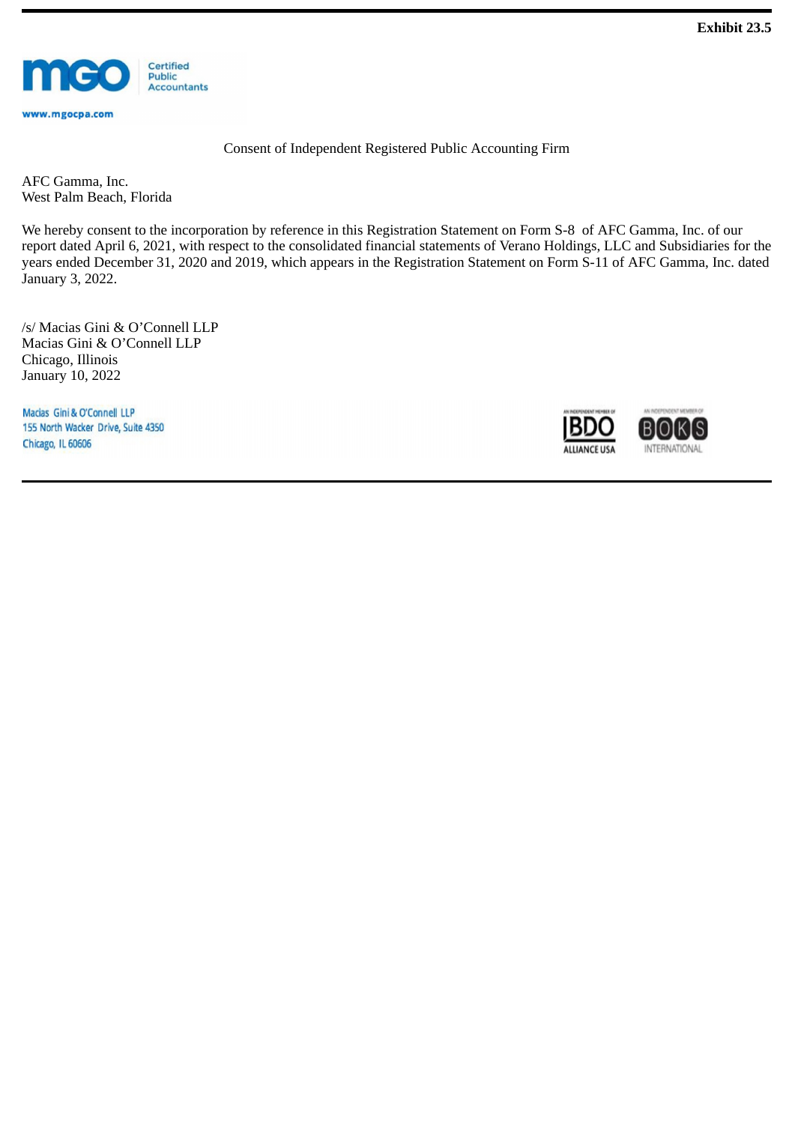<span id="page-13-0"></span>

Consent of Independent Registered Public Accounting Firm

AFC Gamma, Inc. West Palm Beach, Florida

We hereby consent to the incorporation by reference in this Registration Statement on Form S-8 of AFC Gamma, Inc. of our report dated April 6, 2021, with respect to the consolidated financial statements of Verano Holdings, LLC and Subsidiaries for the years ended December 31, 2020 and 2019, which appears in the Registration Statement on Form S-11 of AFC Gamma, Inc. dated January 3, 2022.

/s/ Macias Gini & O'Connell LLP Macias Gini & O'Connell LLP Chicago, Illinois January 10, 2022

Macias Gini & O'Connell LLP 155 North Wacker Drive, Suite 4350 Chicago, IL 60606